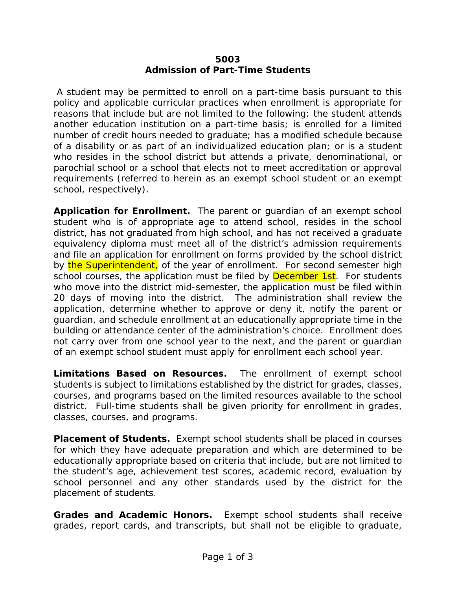## **5003 Admission of Part-Time Students**

A student may be permitted to enroll on a part-time basis pursuant to this policy and applicable curricular practices when enrollment is appropriate for reasons that include but are not limited to the following: the student attends another education institution on a part-time basis; is enrolled for a limited number of credit hours needed to graduate; has a modified schedule because of a disability or as part of an individualized education plan; or is a student who resides in the school district but attends a private, denominational, or parochial school or a school that elects not to meet accreditation or approval requirements (referred to herein as an exempt school student or an exempt school, respectively).

**Application for Enrollment.** The parent or guardian of an exempt school student who is of appropriate age to attend school, resides in the school district, has not graduated from high school, and has not received a graduate equivalency diploma must meet all of the district's admission requirements and file an application for enrollment on forms provided by the school district by the Superintendent, of the year of enrollment. For second semester high school courses, the application must be filed by **December 1st**. For students who move into the district mid-semester, the application must be filed within 20 days of moving into the district. The administration shall review the application, determine whether to approve or deny it, notify the parent or guardian, and schedule enrollment at an educationally appropriate time in the building or attendance center of the administration's choice. Enrollment does not carry over from one school year to the next, and the parent or guardian of an exempt school student must apply for enrollment each school year.

**Limitations Based on Resources.** The enrollment of exempt school students is subject to limitations established by the district for grades, classes, courses, and programs based on the limited resources available to the school district. Full-time students shall be given priority for enrollment in grades, classes, courses, and programs.

**Placement of Students.** Exempt school students shall be placed in courses for which they have adequate preparation and which are determined to be educationally appropriate based on criteria that include, but are not limited to the student's age, achievement test scores, academic record, evaluation by school personnel and any other standards used by the district for the placement of students.

**Grades and Academic Honors.** Exempt school students shall receive grades, report cards, and transcripts, but shall not be eligible to graduate,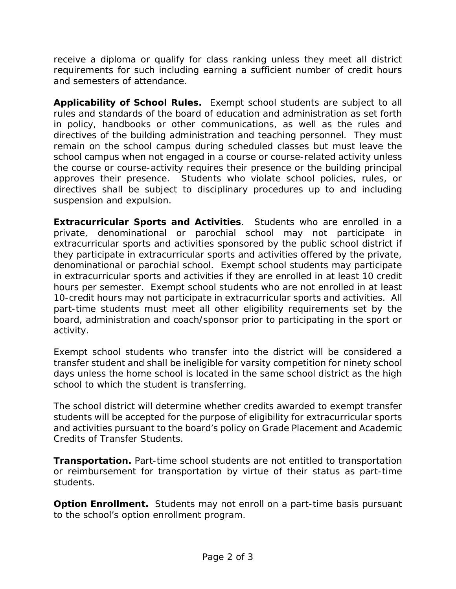receive a diploma or qualify for class ranking unless they meet all district requirements for such including earning a sufficient number of credit hours and semesters of attendance.

**Applicability of School Rules.** Exempt school students are subject to all rules and standards of the board of education and administration as set forth in policy, handbooks or other communications, as well as the rules and directives of the building administration and teaching personnel. They must remain on the school campus during scheduled classes but must leave the school campus when not engaged in a course or course-related activity unless the course or course-activity requires their presence or the building principal approves their presence. Students who violate school policies, rules, or directives shall be subject to disciplinary procedures up to and including suspension and expulsion.

**Extracurricular Sports and Activities**. Students who are enrolled in a private, denominational or parochial school may not participate in extracurricular sports and activities sponsored by the public school district if they participate in extracurricular sports and activities offered by the private, denominational or parochial school. Exempt school students may participate in extracurricular sports and activities if they are enrolled in at least 10 credit hours per semester. Exempt school students who are not enrolled in at least 10-credit hours may not participate in extracurricular sports and activities. All part-time students must meet all other eligibility requirements set by the board, administration and coach/sponsor prior to participating in the sport or activity.

Exempt school students who transfer into the district will be considered a transfer student and shall be ineligible for varsity competition for ninety school days unless the home school is located in the same school district as the high school to which the student is transferring.

The school district will determine whether credits awarded to exempt transfer students will be accepted for the purpose of eligibility for extracurricular sports and activities pursuant to the board's policy on Grade Placement and Academic Credits of Transfer Students.

**Transportation.** Part-time school students are not entitled to transportation or reimbursement for transportation by virtue of their status as part-time students.

**Option Enrollment.** Students may not enroll on a part-time basis pursuant to the school's option enrollment program.